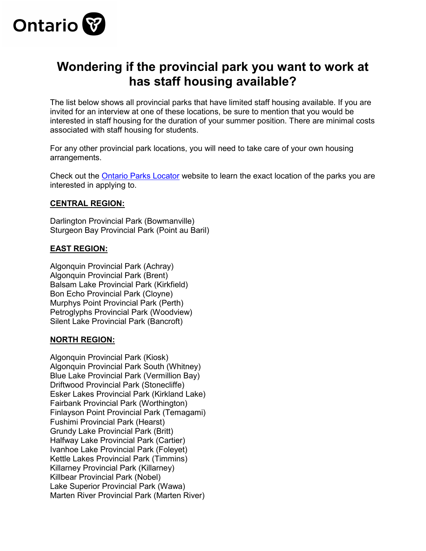

## **Wondering if the provincial park you want to work at has staff housing available?**

The list below shows all provincial parks that have limited staff housing available. If you are invited for an interview at one of these locations, be sure to mention that you would be interested in staff housing for the duration of your summer position. There are minimal costs associated with staff housing for students.

For any other provincial park locations, you will need to take care of your own housing arrangements.

Check out the [Ontario Parks Locator](http://www.ontarioparks.com/park-locator) website to learn the exact location of the parks you are interested in applying to.

## **CENTRAL REGION:**

Darlington Provincial Park (Bowmanville) Sturgeon Bay Provincial Park (Point au Baril)

## **EAST REGION:**

Algonquin Provincial Park (Achray) Algonquin Provincial Park (Brent) Balsam Lake Provincial Park (Kirkfield) Bon Echo Provincial Park (Cloyne) Murphys Point Provincial Park (Perth) Petroglyphs Provincial Park (Woodview) Silent Lake Provincial Park (Bancroft)

## **NORTH REGION:**

Algonquin Provincial Park (Kiosk) Algonquin Provincial Park South (Whitney) Blue Lake Provincial Park (Vermillion Bay) Driftwood Provincial Park (Stonecliffe) Esker Lakes Provincial Park (Kirkland Lake) Fairbank Provincial Park (Worthington) Finlayson Point Provincial Park (Temagami) Fushimi Provincial Park (Hearst) Grundy Lake Provincial Park (Britt) Halfway Lake Provincial Park (Cartier) Ivanhoe Lake Provincial Park (Foleyet) Kettle Lakes Provincial Park (Timmins) Killarney Provincial Park (Killarney) Killbear Provincial Park (Nobel) Lake Superior Provincial Park (Wawa) Marten River Provincial Park (Marten River)